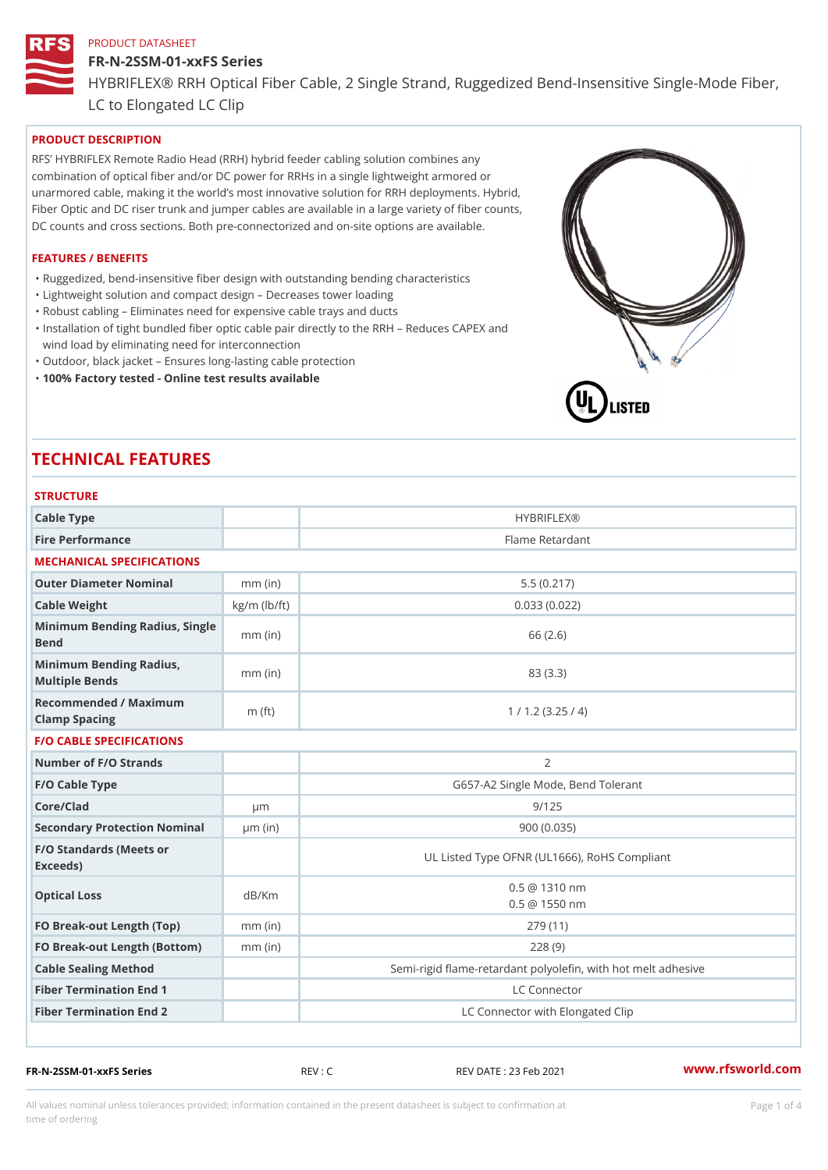## FR-N-2SSM-01-xxFS Series HYBRIFLEX® RRH Optical Fiber Cable, 2 Single Strand, Ruggedized Be

LC to Elongated LC Clip

### PRODUCT DESCRIPTION

RFS HYBRIFLEX Remote Radio Head (RRH) hybrid feeder cabling solution combines any combination of optical fiber and/or DC power for RRHs in a single lightweight armored or unarmored cable, making it the world s most innovative solution for RRH deployments. Hybrid, Fiber Optic and DC riser trunk and jumper cables are available in a large variety of fiber counts, DC counts and cross sections. Both pre-connectorized and on-site options are available.

#### FEATURES / BENEFITS

"Ruggedized, bend-insensitive fiber design with outstanding bending characteristics

- "Lightweight solution and compact design Decreases tower loading
- "Robust cabling Eliminates need for expensive cable trays and ducts
- "Installation of tight bundled fiber optic cable pair directly to the RRH Aeduces CAPEX and wind load by eliminating need for interconnection
- "Outdoor, black jacket Ensures long-lasting cable protection
- "100% Factory tested Online test results available

# TECHNICAL FEATURES

## STRUCTURE

| 5   R U U I U R E                                 |                                                     |                                                          |
|---------------------------------------------------|-----------------------------------------------------|----------------------------------------------------------|
| Cable Type                                        |                                                     | <b>HYBRIFLEX®</b>                                        |
| Fire Performance                                  |                                                     | Flame Retardant                                          |
| MECHANICAL SPECIFICATIONS                         |                                                     |                                                          |
| Outer Diameter Nominal                            | $mm$ (in)                                           | 5.5(0.217)                                               |
| Cable Weight                                      | $kg/m$ ( $lb/ft$ )                                  | 0.033(0.022)                                             |
| Minimum Bending Radius, Single<br>Bend            |                                                     | 66 (2.6)                                                 |
| Minimum Bending Radius, mm (in)<br>Multiple Bends |                                                     | 83 (3.3)                                                 |
| Recommended / Maximum<br>Clamp Spacing            | $m$ (ft)                                            | 1 / 1.2 (3.25 / 4)                                       |
| <b>F/O CABLE SPECIFICATIONS</b>                   |                                                     |                                                          |
| Number of F/O Strands                             |                                                     | $\overline{2}$                                           |
| F/O Cable Type                                    |                                                     | G657-A2 Single Mode, Bend Tolerant                       |
| Core/Clad                                         | $\mu$ m                                             | 9/125                                                    |
| Secondary Protection Nomimal(in)                  |                                                     | 900 (0.035)                                              |
| F/O Standards (Meets or<br>Exceeds)               |                                                     | UL Listed Type OFNR (UL1666), RoHS Compliant             |
| Optical Loss                                      | $0.5 \ @ \ 1310 \ nm$<br>dB/Km<br>$0.5 \t@ 1550 nm$ |                                                          |
| FO Break-out Length (Top)mm (in)                  |                                                     | 279 (11)                                                 |
| FO Break-out Length (Bottmmm) (in)                |                                                     | 228(9)                                                   |
| Cable Sealing Method                              |                                                     | Semi-rigid flame-retardant polyolefin, with hot melt adl |
| Fiber Termination End                             |                                                     | LC Connector                                             |
| Fiber Termination End 2                           |                                                     | LC Connector with Elongated Clip                         |

FR-N-2SSM-01-xxFS Series REV : C REV DATE : 23 Feb 2021 [www.](https://www.rfsworld.com)rfsworld.com

All values nominal unless tolerances provided; information contained in the present datasheet is subject to Pcapgeligimation time of ordering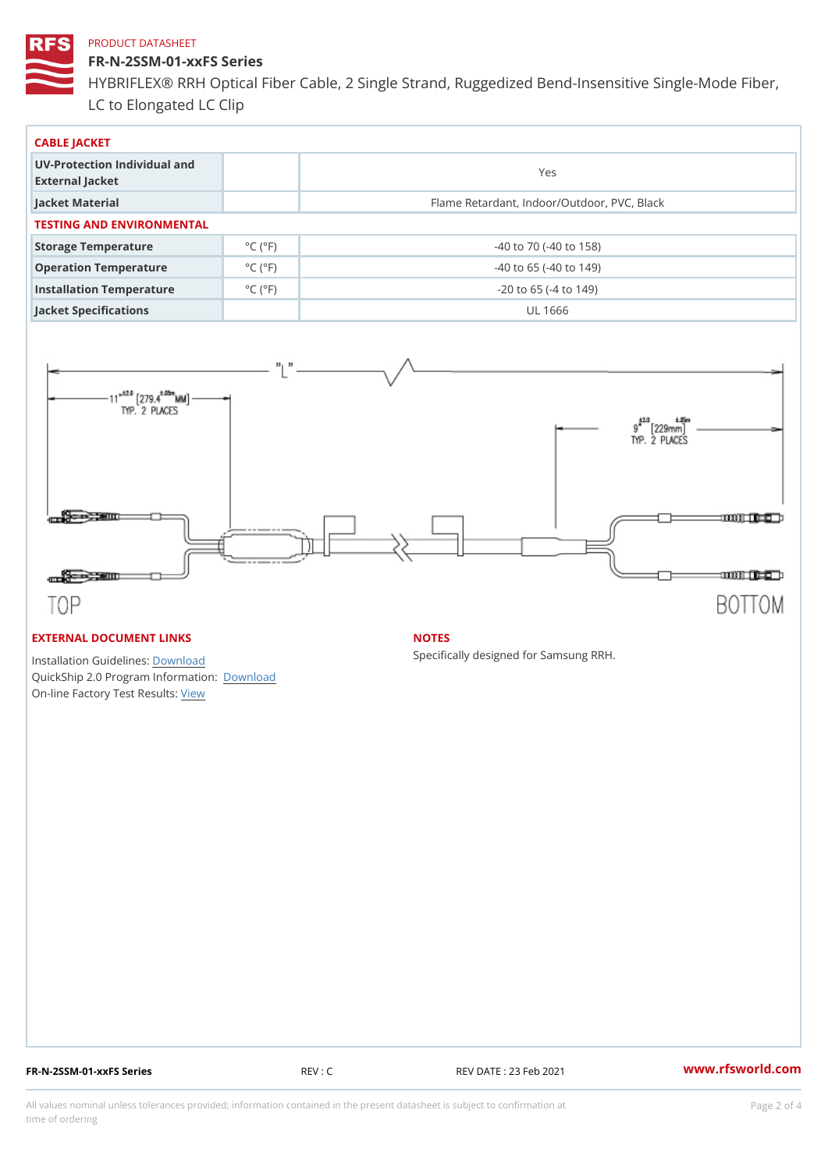FR-N-2SSM-01-xxFS Series HYBRIFLEX® RRH Optical Fiber Cable, 2 Single Strand, Ruggedized Be LC to Elongated LC Clip

| CABLE JACKET                                    |                             |                                             |  |  |  |
|-------------------------------------------------|-----------------------------|---------------------------------------------|--|--|--|
| UV-Protection Individual and<br>External Jacket |                             | Yes                                         |  |  |  |
| Jacket Material                                 |                             | Flame Retardant, Indoor/Outdoor, PVC, Black |  |  |  |
| TESTING AND ENVIRONMENTAL                       |                             |                                             |  |  |  |
| Storage Temperature                             | $^{\circ}$ C ( $^{\circ}$ F | $-40$ to $70$ ( $-40$ to $158$ )            |  |  |  |
| Operation Temperature                           | $^{\circ}$ C ( $^{\circ}$ F | $-40$ to 65 ( $-40$ to 149)                 |  |  |  |
| Installation Temperature                        | $^{\circ}$ C ( $^{\circ}$ F | $-20$ to 65 ( $-4$ to 149)                  |  |  |  |
| Jacket Specifications                           |                             | UL 1666                                     |  |  |  |

#### EXTERNAL DOCUMENT LINKS

Installation Guidelwinessad QuickShip 2.0 Program IDfoormlation: On-line Factory Te[s](https://www.rfsworld.com/pictures/userfiles/programs/AAST Latest Version.zip)teResults:

#### NOTES

Specifically designed for Samsung RRH.

FR-N-2SSM-01-xxFS Series REV : C REV DATE : 23 Feb 2021 [www.](https://www.rfsworld.com)rfsworld.com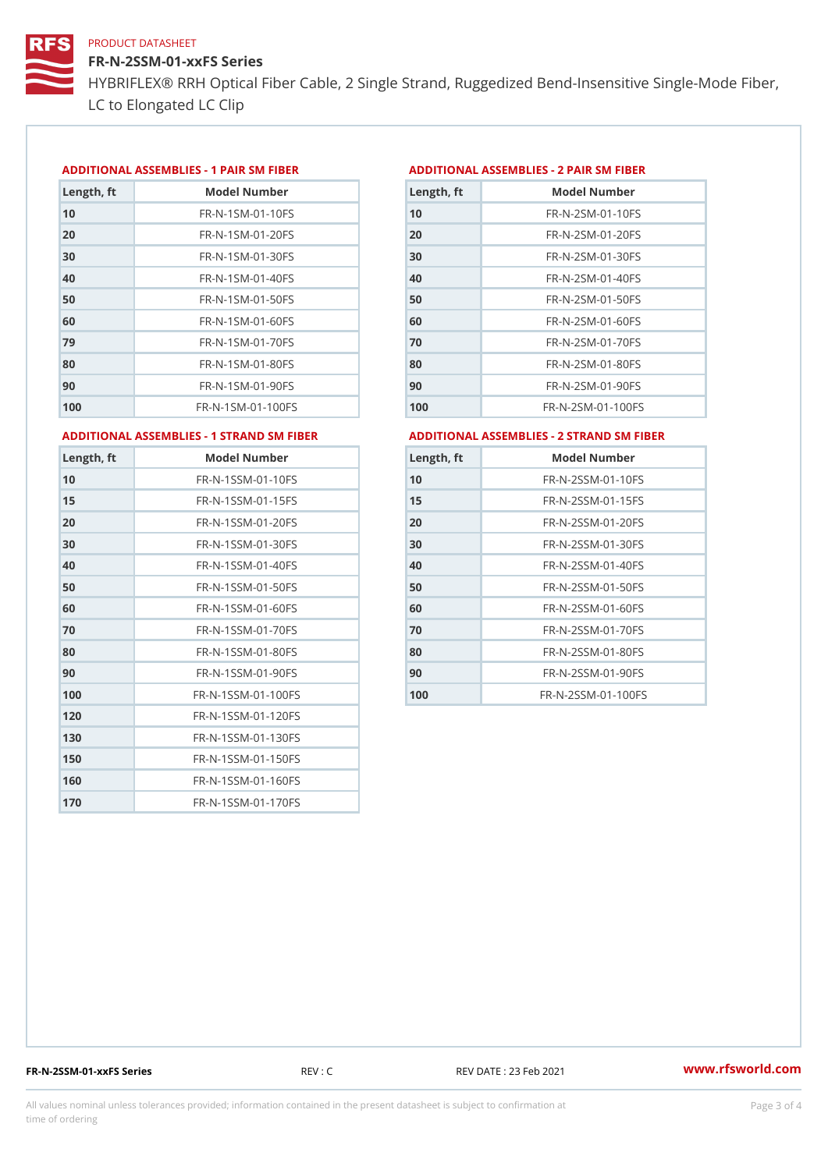FR-N-2SSM-01-xxFS Series HYBRIFLEX® RRH Optical Fiber Cable, 2 Single Strand, Ruggedized Be LC to Elongated LC Clip

#### ADDITIONAL ASSEMBLIES - 1 PAIR SM FIBERED DITIONAL ASSEMBLIES - 2 PAIR SM FIBER

| Length, ft | Model Number                   |
|------------|--------------------------------|
| 10         | $FR - N - 1$ S M - 01 - 10 F S |
| 20         | $FR - N - 1$ S M - 01 - 20 F S |
| 30         | FR-N-1SM-01-30FS               |
| 40         | $FR - N - 1$ S M - 01 - 40 F S |
| 50         | FR-N-1SM-01-50FS               |
| 60         | $FR - N - 1$ SM - 01 - 60 F S  |
| 79         | FR-N-1SM-01-70FS               |
| 80         | $FR - N - 1$ S M - 01 - 80 F S |
| 90         | $FR - N - 1$ S M - 01 - 90 F S |
| 100        | FR-N-1SM-01-100FS              |

| Length, ft | Model Number                   |
|------------|--------------------------------|
| 10         | FR-N-2SM-01-10FS               |
| 20         | FR-N-2SM-01-20FS               |
| 30         | FR-N-2SM-01-30FS               |
| 40         | FR-N-2SM-01-40FS               |
| 50         | $FR - N - 2 S M - 01 - 50 F S$ |
| 60         | $FR - N - 2 S M - 01 - 60 F S$ |
| 70         | FR-N-2SM-01-70FS               |
| 80         | $FR - N - 2 S M - 01 - 80 F S$ |
| 90         | FR-N-2SM-01-90FS               |
| 100        | $FR - N - 2 SM - 01 - 100 FS$  |
|            |                                |

ADDITIONAL ASSEMBLIES - 1 STRAND SM FABSDRTIONAL ASSEMBLIES - 2 STRAND SM FIBER

| Length, ft | Model Number                     |
|------------|----------------------------------|
| 10         | FR-N-1SSM-01-10FS                |
| 15         | FR-N-1SSM-01-15FS                |
| 20         | FR-N-1SSM-01-20FS                |
| 30         | FR-N-1SSM-01-30FS                |
| 40         | FR-N-1SSM-01-40FS                |
| 50         | FR-N-1SSM-01-50FS                |
| 60         | FR-N-1SSM-01-60FS                |
| 70         | FR-N-1SSM-01-70FS                |
| 80         | FR-N-1SSM-01-80FS                |
| 90         | $FR - N - 1$ S S M - 01 - 90 F S |
| 100        | FR-N-1SSM-01-100FS               |
| 120        | FR-N-1SSM-01-120FS               |
| 130        | FR-N-1SSM-01-130FS               |
| 150        | FR-N-1SSM-01-150FS               |
| 160        | FR-N-1SSM-01-160FS               |
| 170        | FR-N-1SSM-01-170FS               |

| Length, ft | Model Number                     |
|------------|----------------------------------|
| 10         | $FR - N - 2$ S S M - 01 - 10 F S |
| 15         | FR-N-2SSM-01-15FS                |
| 20         | $FR - N - 2$ S S M - 01 - 20 F S |
| 30         | $FR - N - 2$ S S M - 01 - 30 F S |
| 40         | FR-N-2SSM-01-40FS                |
| 50         | FR-N-2SSM-01-50FS                |
| 60         | $FR - N - 2SSM - 01 - 60FS$      |
| 70         | $FR - N - 2$ S S M - 01 - 70 F S |
| 80         | FR-N-2SSM-01-80FS                |
| 90         | FR-N-2SSM-01-90FS                |
| 100        | FR-N-2SSM-01-100FS               |

FR-N-2SSM-01-xxFS Series REV : C REV DATE : 23 Feb 2021 [www.](https://www.rfsworld.com)rfsworld.com

All values nominal unless tolerances provided; information contained in the present datasheet is subject to Pcapgeling that i time of ordering